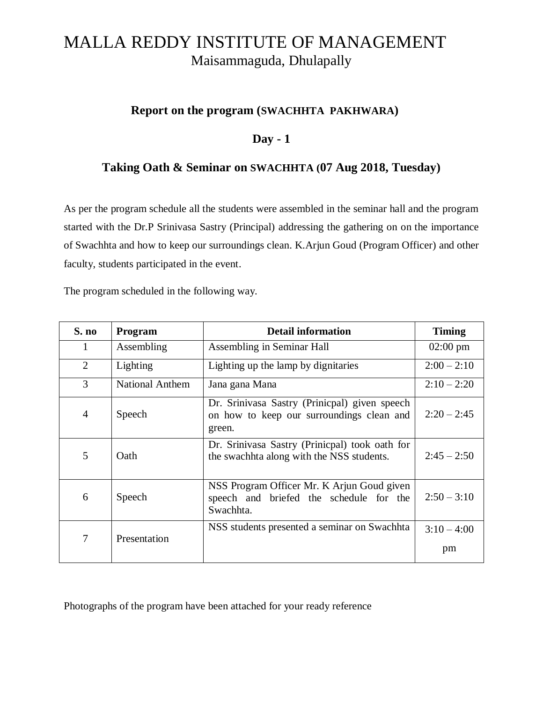## MALLA REDDY INSTITUTE OF MANAGEMENT Maisammaguda, Dhulapally

#### **Report on the program (SWACHHTA PAKHWARA)**

## **Day - 1**

### **Taking Oath & Seminar on SWACHHTA (07 Aug 2018, Tuesday)**

As per the program schedule all the students were assembled in the seminar hall and the program started with the Dr.P Srinivasa Sastry (Principal) addressing the gathering on on the importance of Swachhta and how to keep our surroundings clean. K.Arjun Goud (Program Officer) and other faculty, students participated in the event.

The program scheduled in the following way.

| S. no          | Program                | <b>Detail information</b>                                                                            | <b>Timing</b>       |
|----------------|------------------------|------------------------------------------------------------------------------------------------------|---------------------|
| 1              | Assembling             | Assembling in Seminar Hall                                                                           | $02:00 \text{ pm}$  |
| 2              | Lighting               | Lighting up the lamp by dignitaries                                                                  | $2:00 - 2:10$       |
| 3              | <b>National Anthem</b> | Jana gana Mana                                                                                       | $2:10 - 2:20$       |
| $\overline{4}$ | Speech                 | Dr. Srinivasa Sastry (Prinicpal) given speech<br>on how to keep our surroundings clean and<br>green. | $2:20 - 2:45$       |
| 5              | Oath                   | Dr. Srinivasa Sastry (Prinicpal) took oath for<br>the swachhta along with the NSS students.          | $2:45 - 2:50$       |
| 6              | Speech                 | NSS Program Officer Mr. K Arjun Goud given<br>speech and briefed the schedule for the<br>Swachhta.   | $2:50 - 3:10$       |
| 7              | Presentation           | NSS students presented a seminar on Swachhta                                                         | $3:10 - 4:00$<br>pm |

Photographs of the program have been attached for your ready reference